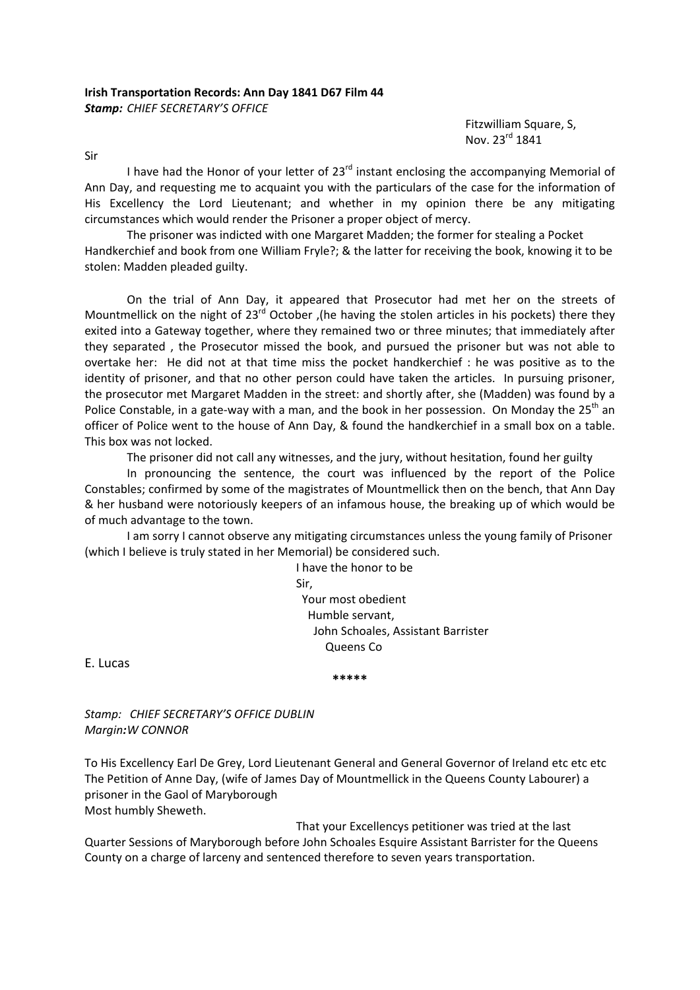## **Irish Transportation Records: Ann Day 1841 D67 Film 44** *Stamp: CHIEF SECRETARY'S OFFICE*

 Fitzwilliam Square, S, Nov. 23rd 1841

Sir

I have had the Honor of your letter of  $23<sup>rd</sup>$  instant enclosing the accompanying Memorial of Ann Day, and requesting me to acquaint you with the particulars of the case for the information of His Excellency the Lord Lieutenant; and whether in my opinion there be any mitigating circumstances which would render the Prisoner a proper object of mercy.

The prisoner was indicted with one Margaret Madden; the former for stealing a Pocket Handkerchief and book from one William Fryle?; & the latter for receiving the book, knowing it to be stolen: Madden pleaded guilty.

On the trial of Ann Day, it appeared that Prosecutor had met her on the streets of Mountmellick on the night of  $23^{rd}$  October , (he having the stolen articles in his pockets) there they exited into a Gateway together, where they remained two or three minutes; that immediately after they separated , the Prosecutor missed the book, and pursued the prisoner but was not able to overtake her: He did not at that time miss the pocket handkerchief : he was positive as to the identity of prisoner, and that no other person could have taken the articles. In pursuing prisoner, the prosecutor met Margaret Madden in the street: and shortly after, she (Madden) was found by a Police Constable, in a gate-way with a man, and the book in her possession. On Monday the 25<sup>th</sup> an officer of Police went to the house of Ann Day, & found the handkerchief in a small box on a table. This box was not locked.

The prisoner did not call any witnesses, and the jury, without hesitation, found her guilty

In pronouncing the sentence, the court was influenced by the report of the Police Constables; confirmed by some of the magistrates of Mountmellick then on the bench, that Ann Day & her husband were notoriously keepers of an infamous house, the breaking up of which would be of much advantage to the town.

I am sorry I cannot observe any mitigating circumstances unless the young family of Prisoner (which I believe is truly stated in her Memorial) be considered such.

 I have the honor to be Sir, Your most obedient Humble servant, John Schoales, Assistant Barrister Queens Co

E. Lucas

**\*\*\*\*\***

*Stamp: CHIEF SECRETARY'S OFFICE DUBLIN Margin:W CONNOR*

To His Excellency Earl De Grey, Lord Lieutenant General and General Governor of Ireland etc etc etc The Petition of Anne Day, (wife of James Day of Mountmellick in the Queens County Labourer) a prisoner in the Gaol of Maryborough Most humbly Sheweth.

 That your Excellencys petitioner was tried at the last Quarter Sessions of Maryborough before John Schoales Esquire Assistant Barrister for the Queens County on a charge of larceny and sentenced therefore to seven years transportation.